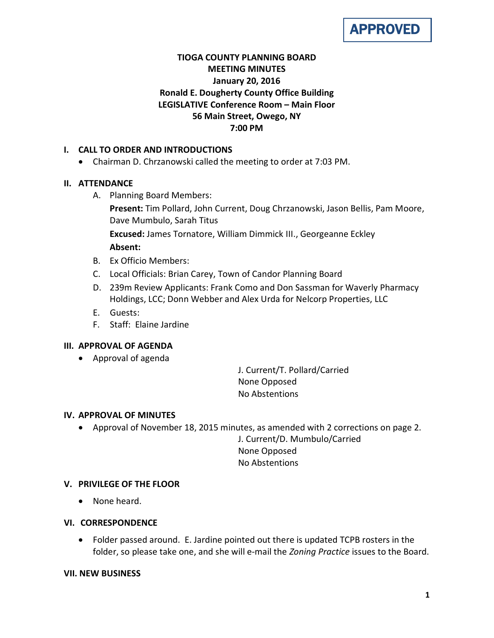# APPROVED

# **TIOGA COUNTY PLANNING BOARD MEETING MINUTES January 20, 2016 Ronald E. Dougherty County Office Building LEGISLATIVE Conference Room – Main Floor 56 Main Street, Owego, NY 7:00 PM**

# **I. CALL TO ORDER AND INTRODUCTIONS**

• Chairman D. Chrzanowski called the meeting to order at 7:03 PM.

# **II. ATTENDANCE**

A. Planning Board Members:

**Present:** Tim Pollard, John Current, Doug Chrzanowski, Jason Bellis, Pam Moore, Dave Mumbulo, Sarah Titus

**Excused:** James Tornatore, William Dimmick III., Georgeanne Eckley **Absent:**

- B. Ex Officio Members:
- C. Local Officials: Brian Carey, Town of Candor Planning Board
- D. 239m Review Applicants: Frank Como and Don Sassman for Waverly Pharmacy Holdings, LCC; Donn Webber and Alex Urda for Nelcorp Properties, LLC
- E. Guests:
- F. Staff: Elaine Jardine

## **III. APPROVAL OF AGENDA**

• Approval of agenda

J. Current/T. Pollard/Carried None Opposed No Abstentions

## **IV. APPROVAL OF MINUTES**

• Approval of November 18, 2015 minutes, as amended with 2 corrections on page 2.

J. Current/D. Mumbulo/Carried None Opposed No Abstentions

# **V. PRIVILEGE OF THE FLOOR**

• None heard.

## **VI. CORRESPONDENCE**

• Folder passed around. E. Jardine pointed out there is updated TCPB rosters in the folder, so please take one, and she will e-mail the *Zoning Practice* issues to the Board.

## **VII. NEW BUSINESS**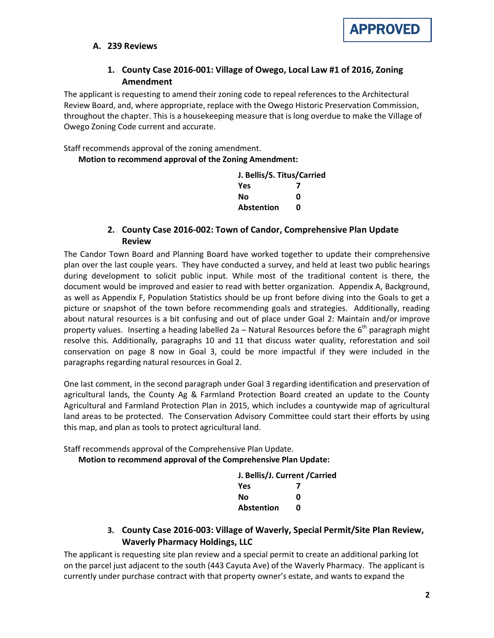

### **A. 239 Reviews**

# **1. County Case 2016-001: Village of Owego, Local Law #1 of 2016, Zoning Amendment**

The applicant is requesting to amend their zoning code to repeal references to the Architectural Review Board, and, where appropriate, replace with the Owego Historic Preservation Commission, throughout the chapter. This is a housekeeping measure that is long overdue to make the Village of Owego Zoning Code current and accurate.

Staff recommends approval of the zoning amendment.

**Motion to recommend approval of the Zoning Amendment:**

| J. Bellis/S. Titus/Carried |   |
|----------------------------|---|
| Yes                        |   |
| Nο                         | ŋ |
| Abstention                 | n |

# **2. County Case 2016-002: Town of Candor, Comprehensive Plan Update Review**

The Candor Town Board and Planning Board have worked together to update their comprehensive plan over the last couple years. They have conducted a survey, and held at least two public hearings during development to solicit public input. While most of the traditional content is there, the document would be improved and easier to read with better organization. Appendix A, Background, as well as Appendix F, Population Statistics should be up front before diving into the Goals to get a picture or snapshot of the town before recommending goals and strategies. Additionally, reading about natural resources is a bit confusing and out of place under Goal 2: Maintain and/or improve property values. Inserting a heading labelled 2a – Natural Resources before the  $6<sup>th</sup>$  paragraph might resolve this. Additionally, paragraphs 10 and 11 that discuss water quality, reforestation and soil conservation on page 8 now in Goal 3, could be more impactful if they were included in the paragraphs regarding natural resources in Goal 2.

One last comment, in the second paragraph under Goal 3 regarding identification and preservation of agricultural lands, the County Ag & Farmland Protection Board created an update to the County Agricultural and Farmland Protection Plan in 2015, which includes a countywide map of agricultural land areas to be protected. The Conservation Advisory Committee could start their efforts by using this map, and plan as tools to protect agricultural land.

Staff recommends approval of the Comprehensive Plan Update.

**Motion to recommend approval of the Comprehensive Plan Update:**

| J. Bellis/J. Current / Carried |   |
|--------------------------------|---|
| <b>Yes</b>                     |   |
| No                             | ŋ |
| <b>Abstention</b>              | n |

# **3. County Case 2016-003: Village of Waverly, Special Permit/Site Plan Review, Waverly Pharmacy Holdings, LLC**

The applicant is requesting site plan review and a special permit to create an additional parking lot on the parcel just adjacent to the south (443 Cayuta Ave) of the Waverly Pharmacy. The applicant is currently under purchase contract with that property owner's estate, and wants to expand the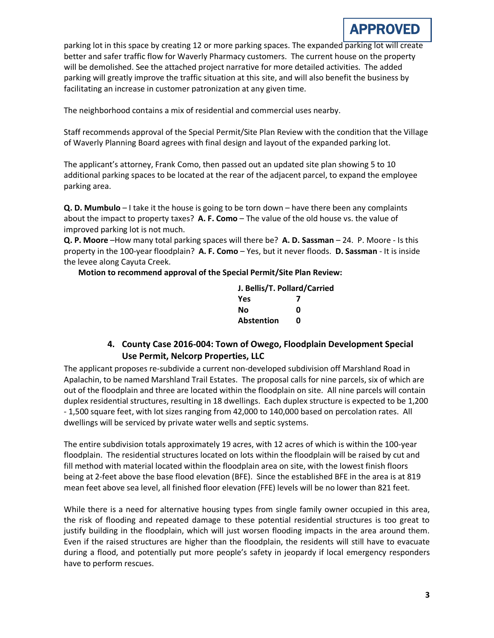parking lot in this space by creating 12 or more parking spaces. The expanded parking lot will create better and safer traffic flow for Waverly Pharmacy customers. The current house on the property will be demolished. See the attached project narrative for more detailed activities. The added parking will greatly improve the traffic situation at this site, and will also benefit the business by facilitating an increase in customer patronization at any given time.

The neighborhood contains a mix of residential and commercial uses nearby.

Staff recommends approval of the Special Permit/Site Plan Review with the condition that the Village of Waverly Planning Board agrees with final design and layout of the expanded parking lot.

The applicant's attorney, Frank Como, then passed out an updated site plan showing 5 to 10 additional parking spaces to be located at the rear of the adjacent parcel, to expand the employee parking area.

**Q. D. Mumbulo** – I take it the house is going to be torn down – have there been any complaints about the impact to property taxes? **A. F. Como** – The value of the old house vs. the value of improved parking lot is not much.

**Q. P. Moore** –How many total parking spaces will there be? **A. D. Sassman** – 24. P. Moore - Is this property in the 100-year floodplain? **A. F. Como** – Yes, but it never floods. **D. Sassman** - It is inside the levee along Cayuta Creek.

**Motion to recommend approval of the Special Permit/Site Plan Review:**

| J. Bellis/T. Pollard/Carried |   |
|------------------------------|---|
| <b>Yes</b>                   |   |
| Nο                           | ŋ |
| <b>Abstention</b>            | n |

# **4. County Case 2016-004: Town of Owego, Floodplain Development Special Use Permit, Nelcorp Properties, LLC**

The applicant proposes re-subdivide a current non-developed subdivision off Marshland Road in Apalachin, to be named Marshland Trail Estates. The proposal calls for nine parcels, six of which are out of the floodplain and three are located within the floodplain on site. All nine parcels will contain duplex residential structures, resulting in 18 dwellings. Each duplex structure is expected to be 1,200 - 1,500 square feet, with lot sizes ranging from 42,000 to 140,000 based on percolation rates. All dwellings will be serviced by private water wells and septic systems.

The entire subdivision totals approximately 19 acres, with 12 acres of which is within the 100-year floodplain. The residential structures located on lots within the floodplain will be raised by cut and fill method with material located within the floodplain area on site, with the lowest finish floors being at 2-feet above the base flood elevation (BFE). Since the established BFE in the area is at 819 mean feet above sea level, all finished floor elevation (FFE) levels will be no lower than 821 feet.

While there is a need for alternative housing types from single family owner occupied in this area, the risk of flooding and repeated damage to these potential residential structures is too great to justify building in the floodplain, which will just worsen flooding impacts in the area around them. Even if the raised structures are higher than the floodplain, the residents will still have to evacuate during a flood, and potentially put more people's safety in jeopardy if local emergency responders have to perform rescues.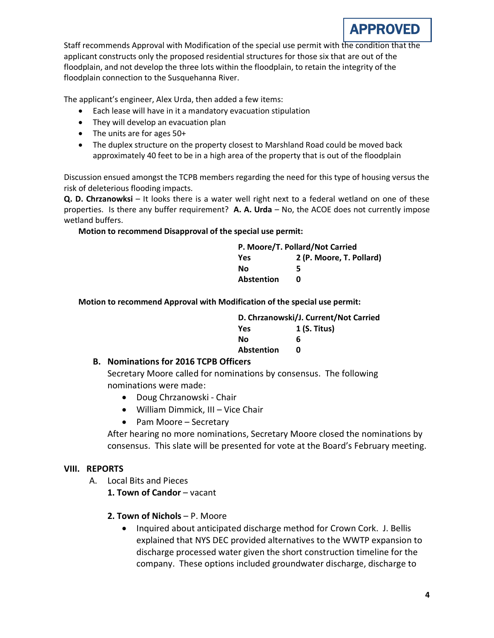

Staff recommends Approval with Modification of the special use permit with the condition that the applicant constructs only the proposed residential structures for those six that are out of the floodplain, and not develop the three lots within the floodplain, to retain the integrity of the floodplain connection to the Susquehanna River.

The applicant's engineer, Alex Urda, then added a few items:

- Each lease will have in it a mandatory evacuation stipulation
- They will develop an evacuation plan
- The units are for ages 50+
- The duplex structure on the property closest to Marshland Road could be moved back approximately 40 feet to be in a high area of the property that is out of the floodplain

Discussion ensued amongst the TCPB members regarding the need for this type of housing versus the risk of deleterious flooding impacts.

**Q. D. Chrzanowksi** – It looks there is a water well right next to a federal wetland on one of these properties. Is there any buffer requirement? **A. A. Urda** – No, the ACOE does not currently impose wetland buffers.

#### **Motion to recommend Disapproval of the special use permit:**

| P. Moore/T. Pollard/Not Carried |                          |  |
|---------------------------------|--------------------------|--|
| Yes                             | 2 (P. Moore, T. Pollard) |  |
| Nο                              | 5                        |  |
| <b>Abstention</b>               | n                        |  |

**Motion to recommend Approval with Modification of the special use permit:**

| D. Chrzanowski/J. Current/Not Carried |                |  |
|---------------------------------------|----------------|--|
| <b>Yes</b>                            | $1$ (S. Titus) |  |
| Nο                                    | 6              |  |
| <b>Abstention</b>                     | n              |  |
|                                       |                |  |

#### **B. Nominations for 2016 TCPB Officers**

Secretary Moore called for nominations by consensus. The following nominations were made:

- Doug Chrzanowski Chair
- William Dimmick, III Vice Chair
- Pam Moore Secretary

After hearing no more nominations, Secretary Moore closed the nominations by consensus. This slate will be presented for vote at the Board's February meeting.

#### **VIII. REPORTS**

- A. Local Bits and Pieces
	- 1. Town of Candor vacant
	- **2. Town of Nichols**  P. Moore
		- Inquired about anticipated discharge method for Crown Cork. J. Bellis explained that NYS DEC provided alternatives to the WWTP expansion to discharge processed water given the short construction timeline for the company. These options included groundwater discharge, discharge to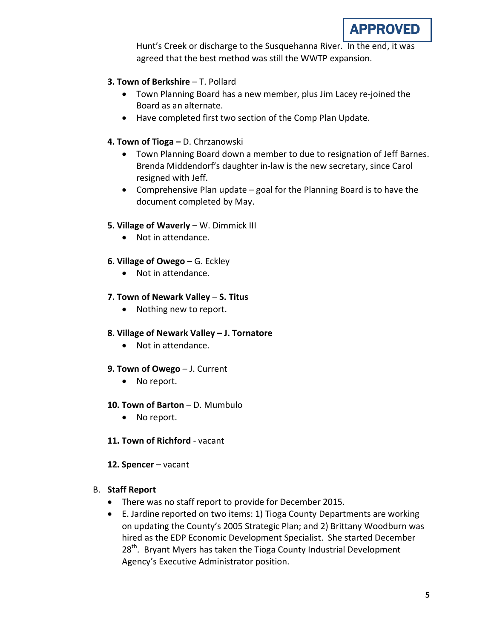Hunt's Creek or discharge to the Susquehanna River. In the end, it was agreed that the best method was still the WWTP expansion.

# **3. Town of Berkshire - T. Pollard**

- Town Planning Board has a new member, plus Jim Lacey re-joined the Board as an alternate.
- Have completed first two section of the Comp Plan Update.

# **4. Town of Tioga –** D. Chrzanowski

- Town Planning Board down a member to due to resignation of Jeff Barnes. Brenda Middendorf's daughter in-law is the new secretary, since Carol resigned with Jeff.
- Comprehensive Plan update goal for the Planning Board is to have the document completed by May.

# **5. Village of Waverly** – W. Dimmick III

• Not in attendance.

# **6. Village of Owego** – G. Eckley

• Not in attendance.

# **7. Town of Newark Valley** – **S. Titus**

• Nothing new to report.

## **8. Village of Newark Valley – J. Tornatore**

• Not in attendance.

## **9. Town of Owego** – J. Current

• No report.

## **10. Town of Barton** – D. Mumbulo

- No report.
- **11. Town of Richford** vacant

## **12. Spencer** – vacant

# B. **Staff Report**

- There was no staff report to provide for December 2015.
- E. Jardine reported on two items: 1) Tioga County Departments are working on updating the County's 2005 Strategic Plan; and 2) Brittany Woodburn was hired as the EDP Economic Development Specialist. She started December 28<sup>th</sup>. Bryant Myers has taken the Tioga County Industrial Development Agency's Executive Administrator position.